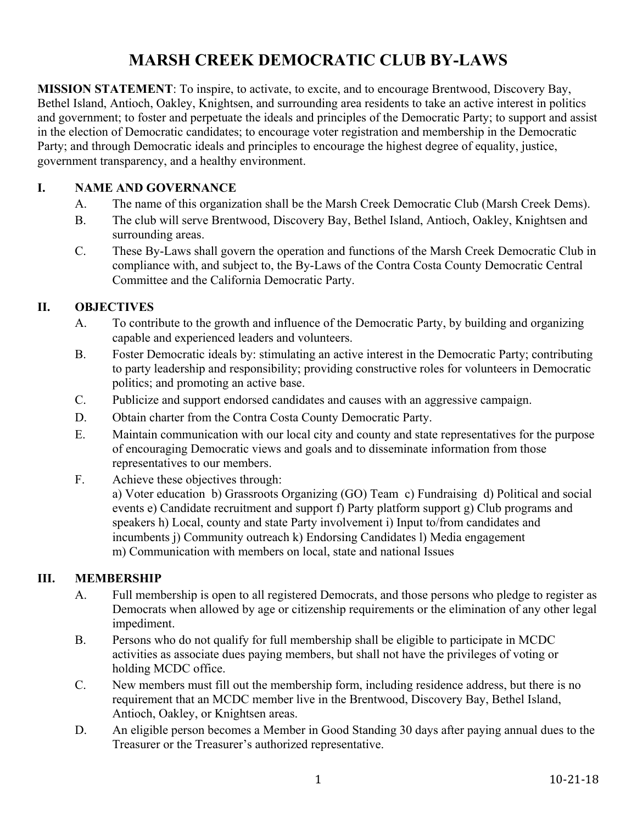# **MARSH CREEK DEMOCRATIC CLUB BY-LAWS**

**MISSION STATEMENT**: To inspire, to activate, to excite, and to encourage Brentwood, Discovery Bay, Bethel Island, Antioch, Oakley, Knightsen, and surrounding area residents to take an active interest in politics and government; to foster and perpetuate the ideals and principles of the Democratic Party; to support and assist in the election of Democratic candidates; to encourage voter registration and membership in the Democratic Party; and through Democratic ideals and principles to encourage the highest degree of equality, justice, government transparency, and a healthy environment.

# **I. NAME AND GOVERNANCE**

- A. The name of this organization shall be the Marsh Creek Democratic Club (Marsh Creek Dems).
- B. The club will serve Brentwood, Discovery Bay, Bethel Island, Antioch, Oakley, Knightsen and surrounding areas.
- C. These By-Laws shall govern the operation and functions of the Marsh Creek Democratic Club in compliance with, and subject to, the By-Laws of the Contra Costa County Democratic Central Committee and the California Democratic Party.

#### **II. OBJECTIVES**

- A. To contribute to the growth and influence of the Democratic Party, by building and organizing capable and experienced leaders and volunteers.
- B. Foster Democratic ideals by: stimulating an active interest in the Democratic Party; contributing to party leadership and responsibility; providing constructive roles for volunteers in Democratic politics; and promoting an active base.
- C. Publicize and support endorsed candidates and causes with an aggressive campaign.
- D. Obtain charter from the Contra Costa County Democratic Party.
- E. Maintain communication with our local city and county and state representatives for the purpose of encouraging Democratic views and goals and to disseminate information from those representatives to our members.
- F. Achieve these objectives through:

a) Voter education b) Grassroots Organizing (GO) Team c) Fundraising d) Political and social events e) Candidate recruitment and support f) Party platform support g) Club programs and speakers h) Local, county and state Party involvement i) Input to/from candidates and incumbents j) Community outreach k) Endorsing Candidates l) Media engagement m) Communication with members on local, state and national Issues

#### **III. MEMBERSHIP**

- A. Full membership is open to all registered Democrats, and those persons who pledge to register as Democrats when allowed by age or citizenship requirements or the elimination of any other legal impediment.
- B. Persons who do not qualify for full membership shall be eligible to participate in MCDC activities as associate dues paying members, but shall not have the privileges of voting or holding MCDC office.
- C. New members must fill out the membership form, including residence address, but there is no requirement that an MCDC member live in the Brentwood, Discovery Bay, Bethel Island, Antioch, Oakley, or Knightsen areas.
- D. An eligible person becomes a Member in Good Standing 30 days after paying annual dues to the Treasurer or the Treasurer's authorized representative.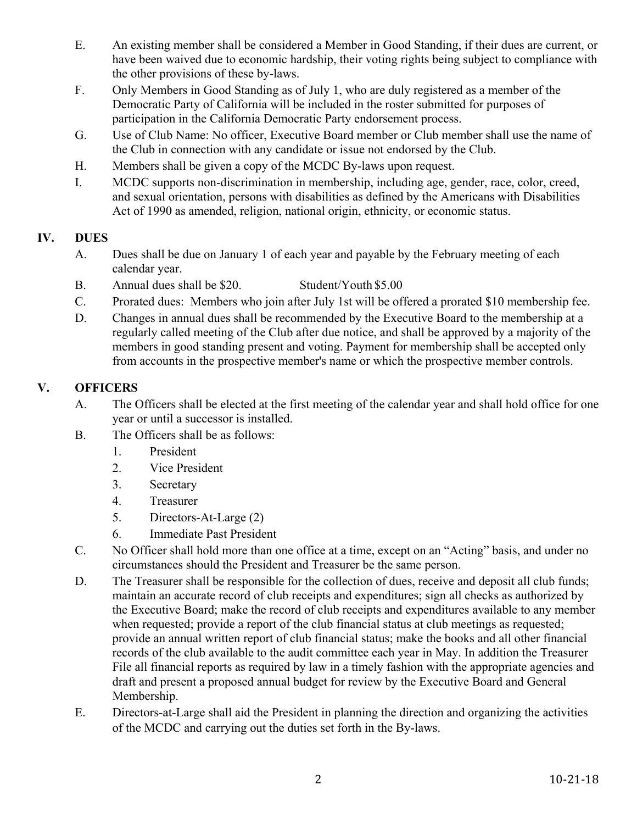- E. An existing member shall be considered a Member in Good Standing, if their dues are current, or have been waived due to economic hardship, their voting rights being subject to compliance with the other provisions of these by-laws.
- F. Only Members in Good Standing as of July 1, who are duly registered as a member of the Democratic Party of California will be included in the roster submitted for purposes of participation in the California Democratic Party endorsement process.
- G. Use of Club Name: No officer, Executive Board member or Club member shall use the name of the Club in connection with any candidate or issue not endorsed by the Club.
- H. Members shall be given a copy of the MCDC By-laws upon request.
- I. MCDC supports non-discrimination in membership, including age, gender, race, color, creed, and sexual orientation, persons with disabilities as defined by the Americans with Disabilities Act of 1990 as amended, religion, national origin, ethnicity, or economic status.

# **IV. DUES**

- A. Dues shall be due on January 1 of each year and payable by the February meeting of each calendar year.
- B. Annual dues shall be \$20. Student/Youth \$5.00
- C. Prorated dues: Members who join after July 1st will be offered a prorated \$10 membership fee.
- D. Changes in annual dues shall be recommended by the Executive Board to the membership at a regularly called meeting of the Club after due notice, and shall be approved by a majority of the members in good standing present and voting. Payment for membership shall be accepted only from accounts in the prospective member's name or which the prospective member controls.

#### **V. OFFICERS**

- A. The Officers shall be elected at the first meeting of the calendar year and shall hold office for one year or until a successor is installed.
- B. The Officers shall be as follows:
	- 1. President
	- 2. Vice President
	- 3. Secretary
	- 4. Treasurer
	- 5. Directors-At-Large (2)
	- 6. Immediate Past President
- C. No Officer shall hold more than one office at a time, except on an "Acting" basis, and under no circumstances should the President and Treasurer be the same person.
- D. The Treasurer shall be responsible for the collection of dues, receive and deposit all club funds; maintain an accurate record of club receipts and expenditures; sign all checks as authorized by the Executive Board; make the record of club receipts and expenditures available to any member when requested; provide a report of the club financial status at club meetings as requested; provide an annual written report of club financial status; make the books and all other financial records of the club available to the audit committee each year in May. In addition the Treasurer File all financial reports as required by law in a timely fashion with the appropriate agencies and draft and present a proposed annual budget for review by the Executive Board and General Membership.
- E. Directors-at-Large shall aid the President in planning the direction and organizing the activities of the MCDC and carrying out the duties set forth in the By-laws.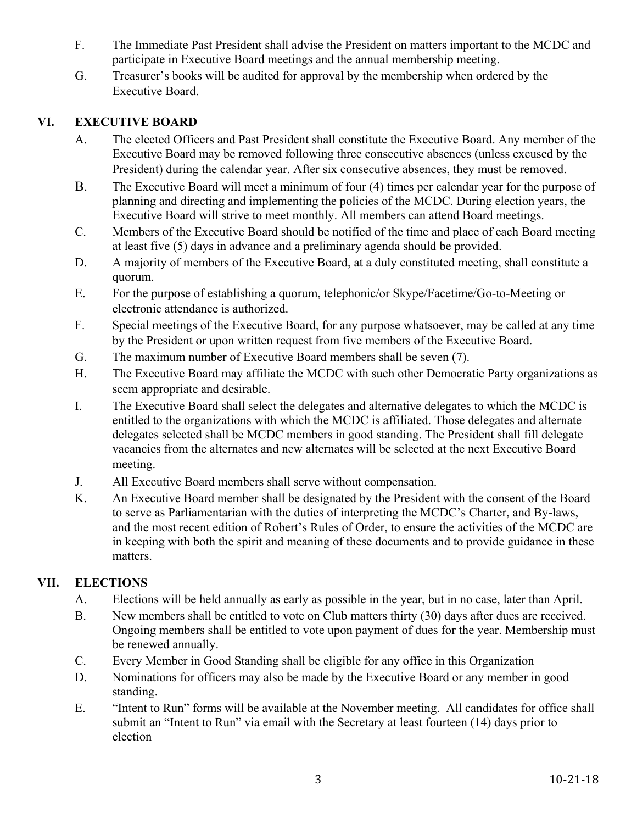- F. The Immediate Past President shall advise the President on matters important to the MCDC and participate in Executive Board meetings and the annual membership meeting.
- G. Treasurer's books will be audited for approval by the membership when ordered by the Executive Board.

# **VI. EXECUTIVE BOARD**

- A. The elected Officers and Past President shall constitute the Executive Board. Any member of the Executive Board may be removed following three consecutive absences (unless excused by the President) during the calendar year. After six consecutive absences, they must be removed.
- B. The Executive Board will meet a minimum of four (4) times per calendar year for the purpose of planning and directing and implementing the policies of the MCDC. During election years, the Executive Board will strive to meet monthly. All members can attend Board meetings.
- C. Members of the Executive Board should be notified of the time and place of each Board meeting at least five (5) days in advance and a preliminary agenda should be provided.
- D. A majority of members of the Executive Board, at a duly constituted meeting, shall constitute a quorum.
- E. For the purpose of establishing a quorum, telephonic/or Skype/Facetime/Go-to-Meeting or electronic attendance is authorized.
- F. Special meetings of the Executive Board, for any purpose whatsoever, may be called at any time by the President or upon written request from five members of the Executive Board.
- G. The maximum number of Executive Board members shall be seven (7).
- H. The Executive Board may affiliate the MCDC with such other Democratic Party organizations as seem appropriate and desirable.
- I. The Executive Board shall select the delegates and alternative delegates to which the MCDC is entitled to the organizations with which the MCDC is affiliated. Those delegates and alternate delegates selected shall be MCDC members in good standing. The President shall fill delegate vacancies from the alternates and new alternates will be selected at the next Executive Board meeting.
- J. All Executive Board members shall serve without compensation.
- K. An Executive Board member shall be designated by the President with the consent of the Board to serve as Parliamentarian with the duties of interpreting the MCDC's Charter, and By-laws, and the most recent edition of Robert's Rules of Order, to ensure the activities of the MCDC are in keeping with both the spirit and meaning of these documents and to provide guidance in these matters.

# **VII. ELECTIONS**

- A. Elections will be held annually as early as possible in the year, but in no case, later than April.
- B. New members shall be entitled to vote on Club matters thirty (30) days after dues are received. Ongoing members shall be entitled to vote upon payment of dues for the year. Membership must be renewed annually.
- C. Every Member in Good Standing shall be eligible for any office in this Organization
- D. Nominations for officers may also be made by the Executive Board or any member in good standing.
- E. "Intent to Run" forms will be available at the November meeting. All candidates for office shall submit an "Intent to Run" via email with the Secretary at least fourteen (14) days prior to election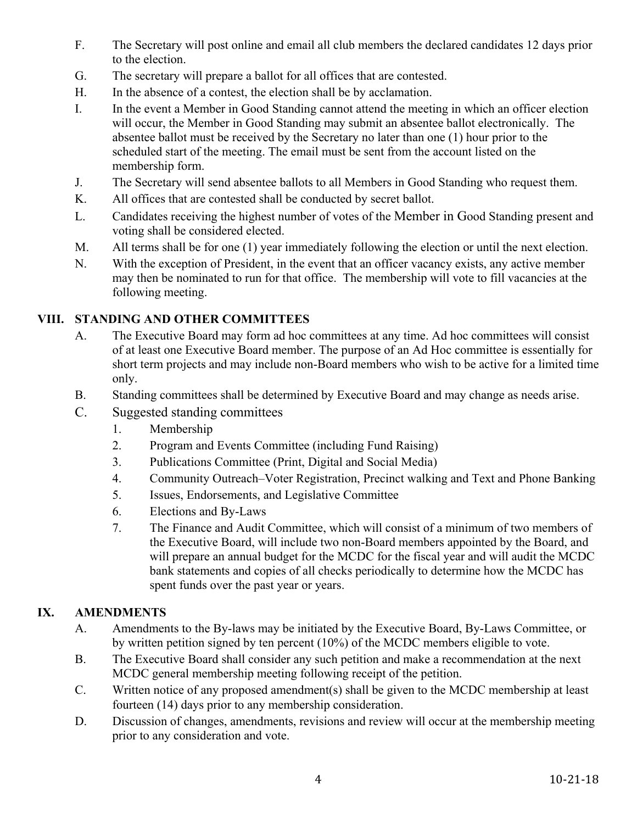- F. The Secretary will post online and email all club members the declared candidates 12 days prior to the election.
- G. The secretary will prepare a ballot for all offices that are contested.
- H. In the absence of a contest, the election shall be by acclamation.
- I. In the event a Member in Good Standing cannot attend the meeting in which an officer election will occur, the Member in Good Standing may submit an absentee ballot electronically. The absentee ballot must be received by the Secretary no later than one (1) hour prior to the scheduled start of the meeting. The email must be sent from the account listed on the membership form.
- J. The Secretary will send absentee ballots to all Members in Good Standing who request them.
- K. All offices that are contested shall be conducted by secret ballot.
- L. Candidates receiving the highest number of votes of the Member in Good Standing present and voting shall be considered elected.
- M. All terms shall be for one (1) year immediately following the election or until the next election.
- N. With the exception of President, in the event that an officer vacancy exists, any active member may then be nominated to run for that office. The membership will vote to fill vacancies at the following meeting.

#### **VIII. STANDING AND OTHER COMMITTEES**

- A. The Executive Board may form ad hoc committees at any time. Ad hoc committees will consist of at least one Executive Board member. The purpose of an Ad Hoc committee is essentially for short term projects and may include non-Board members who wish to be active for a limited time only.
- B. Standing committees shall be determined by Executive Board and may change as needs arise.
- C. Suggested standing committees
	- 1. Membership
	- 2. Program and Events Committee (including Fund Raising)
	- 3. Publications Committee (Print, Digital and Social Media)
	- 4. Community Outreach–Voter Registration, Precinct walking and Text and Phone Banking
	- 5. Issues, Endorsements, and Legislative Committee
	- 6. Elections and By-Laws
	- 7. The Finance and Audit Committee, which will consist of a minimum of two members of the Executive Board, will include two non-Board members appointed by the Board, and will prepare an annual budget for the MCDC for the fiscal year and will audit the MCDC bank statements and copies of all checks periodically to determine how the MCDC has spent funds over the past year or years.

#### **IX. AMENDMENTS**

- A. Amendments to the By-laws may be initiated by the Executive Board, By-Laws Committee, or by written petition signed by ten percent (10%) of the MCDC members eligible to vote.
- B. The Executive Board shall consider any such petition and make a recommendation at the next MCDC general membership meeting following receipt of the petition.
- C. Written notice of any proposed amendment(s) shall be given to the MCDC membership at least fourteen (14) days prior to any membership consideration.
- D. Discussion of changes, amendments, revisions and review will occur at the membership meeting prior to any consideration and vote.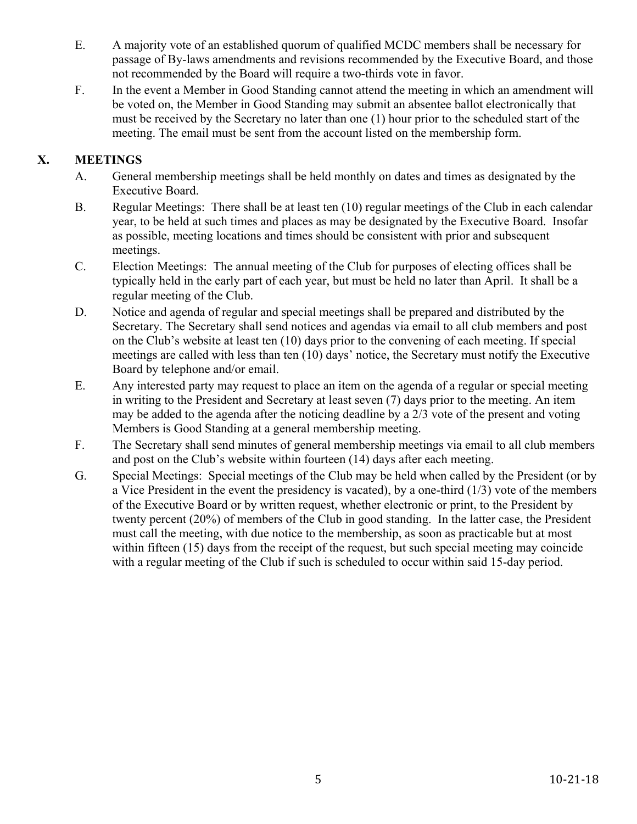- E. A majority vote of an established quorum of qualified MCDC members shall be necessary for passage of By-laws amendments and revisions recommended by the Executive Board, and those not recommended by the Board will require a two-thirds vote in favor.
- F. In the event a Member in Good Standing cannot attend the meeting in which an amendment will be voted on, the Member in Good Standing may submit an absentee ballot electronically that must be received by the Secretary no later than one (1) hour prior to the scheduled start of the meeting. The email must be sent from the account listed on the membership form.

## **X. MEETINGS**

- A. General membership meetings shall be held monthly on dates and times as designated by the Executive Board.
- B. Regular Meetings: There shall be at least ten (10) regular meetings of the Club in each calendar year, to be held at such times and places as may be designated by the Executive Board. Insofar as possible, meeting locations and times should be consistent with prior and subsequent meetings.
- C. Election Meetings: The annual meeting of the Club for purposes of electing offices shall be typically held in the early part of each year, but must be held no later than April. It shall be a regular meeting of the Club.
- D. Notice and agenda of regular and special meetings shall be prepared and distributed by the Secretary. The Secretary shall send notices and agendas via email to all club members and post on the Club's website at least ten (10) days prior to the convening of each meeting. If special meetings are called with less than ten (10) days' notice, the Secretary must notify the Executive Board by telephone and/or email.
- E. Any interested party may request to place an item on the agenda of a regular or special meeting in writing to the President and Secretary at least seven (7) days prior to the meeting. An item may be added to the agenda after the noticing deadline by a 2/3 vote of the present and voting Members is Good Standing at a general membership meeting.
- F. The Secretary shall send minutes of general membership meetings via email to all club members and post on the Club's website within fourteen (14) days after each meeting.
- G. Special Meetings: Special meetings of the Club may be held when called by the President (or by a Vice President in the event the presidency is vacated), by a one-third (1/3) vote of the members of the Executive Board or by written request, whether electronic or print, to the President by twenty percent (20%) of members of the Club in good standing. In the latter case, the President must call the meeting, with due notice to the membership, as soon as practicable but at most within fifteen (15) days from the receipt of the request, but such special meeting may coincide with a regular meeting of the Club if such is scheduled to occur within said 15-day period.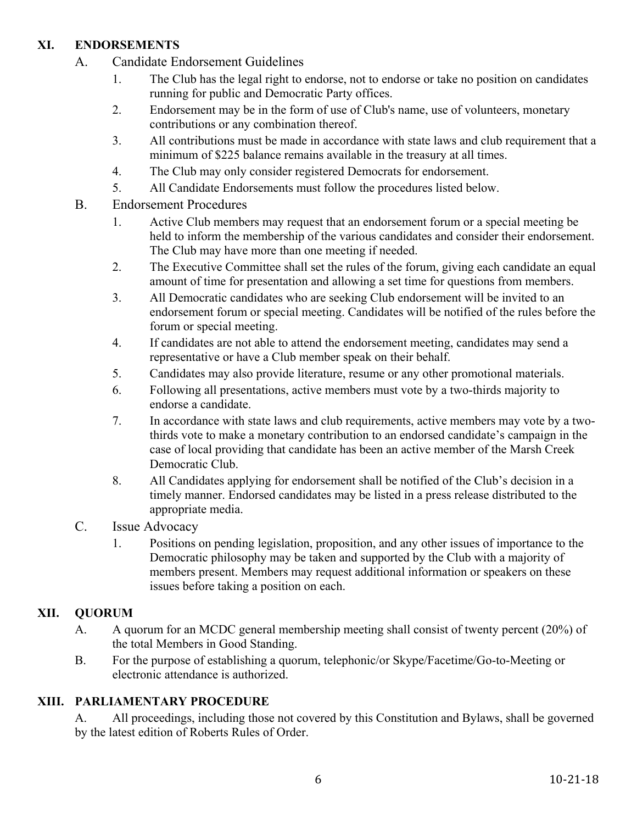# **XI. ENDORSEMENTS**

- A. Candidate Endorsement Guidelines
	- 1. The Club has the legal right to endorse, not to endorse or take no position on candidates running for public and Democratic Party offices.
	- 2. Endorsement may be in the form of use of Club's name, use of volunteers, monetary contributions or any combination thereof.
	- 3. All contributions must be made in accordance with state laws and club requirement that a minimum of \$225 balance remains available in the treasury at all times.
	- 4. The Club may only consider registered Democrats for endorsement.
	- 5. All Candidate Endorsements must follow the procedures listed below.
- B. Endorsement Procedures
	- 1. Active Club members may request that an endorsement forum or a special meeting be held to inform the membership of the various candidates and consider their endorsement. The Club may have more than one meeting if needed.
	- 2. The Executive Committee shall set the rules of the forum, giving each candidate an equal amount of time for presentation and allowing a set time for questions from members.
	- 3. All Democratic candidates who are seeking Club endorsement will be invited to an endorsement forum or special meeting. Candidates will be notified of the rules before the forum or special meeting.
	- 4. If candidates are not able to attend the endorsement meeting, candidates may send a representative or have a Club member speak on their behalf.
	- 5. Candidates may also provide literature, resume or any other promotional materials.
	- 6. Following all presentations, active members must vote by a two-thirds majority to endorse a candidate.
	- 7. In accordance with state laws and club requirements, active members may vote by a twothirds vote to make a monetary contribution to an endorsed candidate's campaign in the case of local providing that candidate has been an active member of the Marsh Creek Democratic Club.
	- 8. All Candidates applying for endorsement shall be notified of the Club's decision in a timely manner. Endorsed candidates may be listed in a press release distributed to the appropriate media.
- C. Issue Advocacy
	- 1. Positions on pending legislation, proposition, and any other issues of importance to the Democratic philosophy may be taken and supported by the Club with a majority of members present. Members may request additional information or speakers on these issues before taking a position on each.

# **XII. QUORUM**

- A. A quorum for an MCDC general membership meeting shall consist of twenty percent (20%) of the total Members in Good Standing.
- B. For the purpose of establishing a quorum, telephonic/or Skype/Facetime/Go-to-Meeting or electronic attendance is authorized.

# **XIII. PARLIAMENTARY PROCEDURE**

A. All proceedings, including those not covered by this Constitution and Bylaws, shall be governed by the latest edition of Roberts Rules of Order.